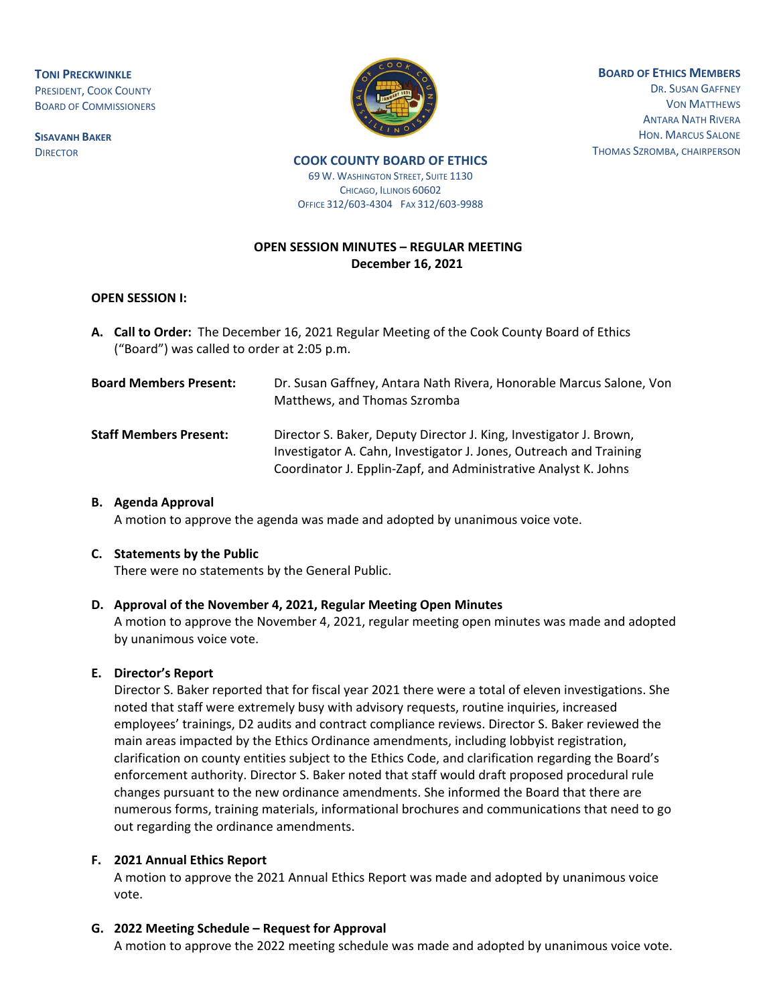**TONI PRECKWINKLE** PRESIDENT, COOK COUNTY BOARD OF COMMISSIONERS

**SISAVANH BAKER DIRECTOR** 



**BOARD OF ETHICS MEMBERS** DR. SUSAN GAFFNEY VON MATTHEWS

ANTARA NATH RIVERA HON. MARCUS SALONE THOMAS SZROMBA, CHAIRPERSON

#### **COOK COUNTY BOARD OF ETHICS**

**69 W. WASHINGTON STREET, SUITE 1130** CHICAGO, ILLINOIS 60602 OFFICE 312/603-4304 FAX 312/603-9988

# **OPEN SESSION MINUTES – REGULAR MEETING December 16, 2021**

#### **OPEN SESSION I:**

**A. Call to Order:** The December 16, 2021 Regular Meeting of the Cook County Board of Ethics ("Board") was called to order at 2:05 p.m.

| <b>Board Members Present:</b> | Dr. Susan Gaffney, Antara Nath Rivera, Honorable Marcus Salone, Von<br>Matthews, and Thomas Szromba                                      |
|-------------------------------|------------------------------------------------------------------------------------------------------------------------------------------|
| <b>Staff Members Present:</b> | Director S. Baker, Deputy Director J. King, Investigator J. Brown,<br>Investigator A. Cahn, Investigator J. Jones, Outreach and Training |
|                               | Coordinator J. Epplin-Zapf, and Administrative Analyst K. Johns                                                                          |

### **B. Agenda Approval**

A motion to approve the agenda was made and adopted by unanimous voice vote.

#### **C. Statements by the Public**

There were no statements by the General Public.

## **D. Approval of the November 4, 2021, Regular Meeting Open Minutes**

A motion to approve the November 4, 2021, regular meeting open minutes was made and adopted by unanimous voice vote.

## **E. Director's Report**

Director S. Baker reported that for fiscal year 2021 there were a total of eleven investigations. She noted that staff were extremely busy with advisory requests, routine inquiries, increased employees' trainings, D2 audits and contract compliance reviews. Director S. Baker reviewed the main areas impacted by the Ethics Ordinance amendments, including lobbyist registration, clarification on county entities subject to the Ethics Code, and clarification regarding the Board's enforcement authority. Director S. Baker noted that staff would draft proposed procedural rule changes pursuant to the new ordinance amendments. She informed the Board that there are numerous forms, training materials, informational brochures and communications that need to go out regarding the ordinance amendments.

## **F. 2021 Annual Ethics Report**

A motion to approve the 2021 Annual Ethics Report was made and adopted by unanimous voice vote.

## **G. 2022 Meeting Schedule – Request for Approval**

A motion to approve the 2022 meeting schedule was made and adopted by unanimous voice vote.